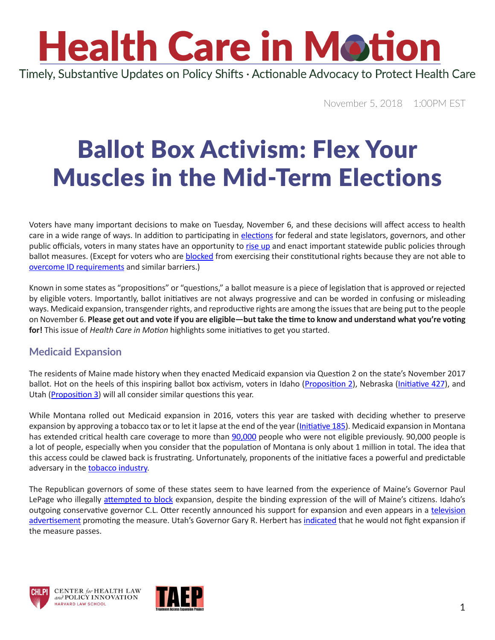# **Health Care in Motion**

Timely, Substantive Updates on Policy Shifts · Actionable Advocacy to Protect Health Care

November 5, 2018 1:00PM EST

### Ballot Box Activism: Flex Your Muscles in the Mid-Term Elections

Voters have many important decisions to make on Tuesday, November 6, and these decisions will affect access to health care in a wide range of ways. In addition to participating in [elections](https://m.youtube.com/watch?v=B_6-8AE7Cao) for federal and state legislators, governors, and other public officials, voters in many states have an opportunity to [rise up](https://www.youtube.com/watch?v=JcC-SbcihKI) and enact important statewide public policies through ballot measures. (Except for voters who are [blocked](https://www.huffingtonpost.com/entry/north-dakota-tribes-scramble-for-new-ids-after-onerous-voter-law_us_5bd7c62de4b07427610a7c57) from exercising their constitutional rights because they are not able to [overcome ID requirements](https://www.salon.com/2018/10/25/how-to-protect-yourself-against-id-requirements-on-election-day_partner/) and similar barriers.)

Known in some states as "propositions" or "questions," a ballot measure is a piece of legislation that is approved or rejected by eligible voters. Importantly, ballot initiatives are not always progressive and can be worded in confusing or misleading ways. Medicaid expansion, transgender rights, and reproductive rights are among the issues that are being put to the people on November 6. **Please get out and vote if you are eligible—but take the time to know and understand what you're voting for!** This issue of *Health Care in Motion* highlights some initiatives to get you started.

#### **Medicaid Expansion**

The residents of Maine made history when they enacted Medicaid expansion via Question 2 on the state's November 2017 ballot. Hot on the heels of this inspiring ballot box activism, voters in Idaho [\(Proposition 2](https://www.reclaimidaho.org/)), Nebraska ([Initiative 427](https://insurethegoodlife.com/)), and Utah ([Proposition 3\)](https://www.utahdecides.org/) will all consider similar questions this year.

While Montana rolled out Medicaid expansion in 2016, voters this year are tasked with deciding whether to preserve expansion by approving a tobacco tax or to let it lapse at the end of the year ([Initiative 185](https://www.healthymontana.org/)). Medicaid expansion in Montana has extended critical health care coverage to more than [90,000](https://www.greatfallstribune.com/story/news/2018/01/18/91-k-enrolled-montana-medicaid-expansion-panel-told/1045251001/) people who were not eligible previously. 90,000 people is a lot of people, especially when you consider that the population of Montana is only about 1 million in total. The idea that this access could be clawed back is frustrating. Unfortunately, proponents of the initiative faces a powerful and predictable adversary in the [tobacco industry](file:///C:\Users\kcostello\AppData\Local\Microsoft\Windows\INetCache\Content.Outlook\LY9VZXQQ\whether-the-tobacco-industry-should-pay-for-medicai).

The Republican governors of some of these states seem to have learned from the experience of Maine's Governor Paul LePage who illegally [attempted to block](https://www.nytimes.com/2018/07/24/health/maine-medicaid-expansion-lepage.html) expansion, despite the binding expression of the will of Maine's citizens. Idaho's outgoing conservative governor C.L. Otter recently announced his support for expansion and even appears in a television [advertisement](https://www.youtube.com/watch?v=7cOJFVBg7S8) promoting the measure. Utah's Governor Gary R. Herbert has [indicated](https://www.nytimes.com/2018/07/24/health/maine-medicaid-expansion-lepage.html) that he would not fight expansion if the measure passes.





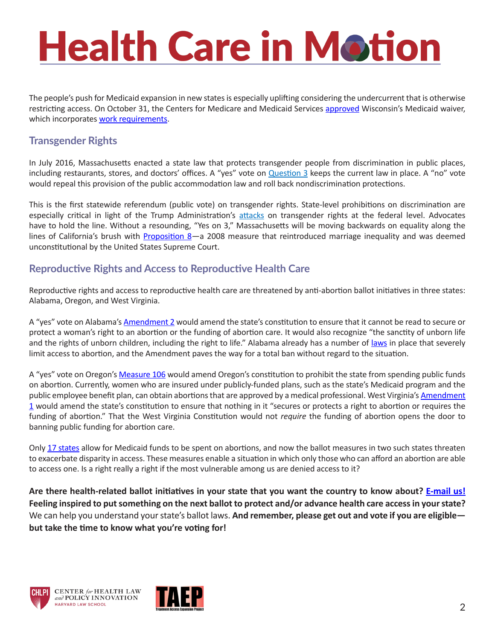### **Health Care in Motion**

The people's push for Medicaid expansion in new states is especially uplifting considering the undercurrent that is otherwise restricting access. On October 31, the Centers for Medicare and Medicaid Services [approved](https://www.cms.gov/blog/cms-approves-innovative-wisconsin-plan-improve-health-and-lift-individuals-poverty) Wisconsin's Medicaid waiver, which incorporates [work requirements](https://www.chlpi.org/wp-content/uploads/2013/12/HCIM_05_07_2018.pdf).

#### **Transgender Rights**

In July 2016, Massachusetts enacted a state law that protects transgender people from discrimination in public places, including restaurants, stores, and doctors' offices. A "yes" vote on **Question 3** keeps the current law in place. A "no" vote would repeal this provision of the public accommodation law and roll back nondiscrimination protections.

This is the first statewide referendum (public vote) on transgender rights. State-level prohibitions on discrimination are especially critical in light of the Trump Administration's [attacks](https://www.nytimes.com/2018/10/21/us/politics/transgender-trump-administration-sex-definition.html) on transgender rights at the federal level. Advocates have to hold the line. Without a resounding, "Yes on 3," Massachusetts will be moving backwards on equality along the lines of California's brush with [Proposition 8](http://www.latimes.com/opinion/op-ed/la-oe-soucek-prop-8-repeal-20161128-story.html)-a 2008 measure that reintroduced marriage inequality and was deemed unconstitutional by the United States Supreme Court.

#### **Reproductive Rights and Access to Reproductive Health Care**

Reproductive rights and access to reproductive health care are threatened by anti-abortion ballot initiatives in three states: Alabama, Oregon, and West Virginia.

A "yes" vote on Alabama's [Amendment 2](https://www.alhealthyfamilies.org/) would amend the state's constitution to ensure that it cannot be read to secure or protect a woman's right to an abortion or the funding of abortion care. It would also recognize "the sanctity of unborn life and the rights of unborn children, including the right to life." Alabama already has a number of [laws](https://www.guttmacher.org/fact-sheet/state-facts-about-abortion-alabama) in place that severely limit access to abortion, and the Amendment paves the way for a total ban without regard to the situation.

A "yes" vote on Oregon's [Measure 106](http://nocutstocare.com/) would amend Oregon's constitution to prohibit the state from spending public funds on abortion. Currently, women who are insured under publicly-funded plans, such as the state's Medicaid program and the public employee benefit plan, can obtain abortions that are approved by a medical professional. West Virginia's [Amendment](https://www.votenoon1wv.org/) [1](https://www.votenoon1wv.org/) would amend the state's constitution to ensure that nothing in it "secures or protects a right to abortion or requires the funding of abortion." That the West Virginia Constitution would not *require* the funding of abortion opens the door to banning public funding for abortion care.

Only [17 states](https://www.guttmacher.org/evidence-you-can-use/medicaid-funding-abortion) allow for Medicaid funds to be spent on abortions, and now the ballot measures in two such states threaten to exacerbate disparity in access. These measures enable a situation in which only those who can afford an abortion are able to access one. Is a right really a right if the most vulnerable among us are denied access to it?

**Are there health-related ballot initiatives in your state that you want the country to know about? [E-mail us!](mailto:chlpi%40law.harvard.edu?subject=HCIM%3A%20Ballot%20Box) Feeling inspired to put something on the next ballot to protect and/or advance health care access in your state?** We can help you understand your state's ballot laws. **And remember, please get out and vote if you are eligible but take the time to know what you're voting for!**